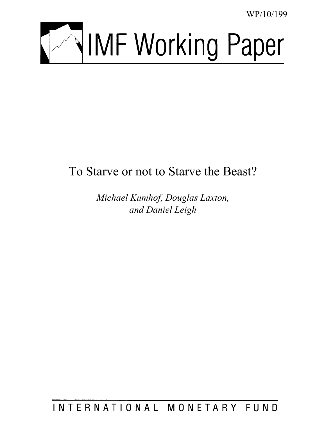WP/10/199



# To Starve or not to Starve the Beast?

*Michael Kumhof, Douglas Laxton, and Daniel Leigh* 

INTERNATIONAL MONETARY FUND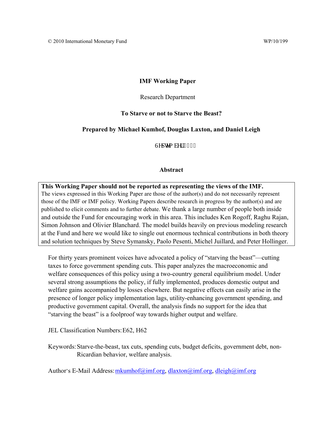# **IMF Working Paper**

## Research Department

## **To Starve or not to Starve the Beast?**

## **Prepared by Michael Kumhof, Douglas Laxton, and Daniel Leigh**

Ugr vgo dgt "4232

## **Abstract**

**This Working Paper should not be reported as representing the views of the IMF.** The views expressed in this Working Paper are those of the author(s) and do not necessarily represent those of the IMF or IMF policy. Working Papers describe research in progress by the author(s) and are published to elicit comments and to further debate. We thank a large number of people both inside and outside the Fund for encouraging work in this area. This includes Ken Rogoff, Raghu Rajan, Simon Johnson and Olivier Blanchard. The model builds heavily on previous modeling research at the Fund and here we would like to single out enormous technical contributions in both theory and solution techniques by Steve Symansky, Paolo Pesenti, Michel Juillard, and Peter Hollinger.

For thirty years prominent voices have advocated a policy of "starving the beast"––cutting taxes to force government spending cuts. This paper analyzes the macroeconomic and welfare consequences of this policy using a two-country general equilibrium model. Under several strong assumptions the policy, if fully implemented, produces domestic output and welfare gains accompanied by losses elsewhere. But negative effects can easily arise in the presence of longer policy implementation lags, utility-enhancing government spending, and productive government capital. Overall, the analysis finds no support for the idea that "starving the beast" is a foolproof way towards higher output and welfare.

JEL Classification Numbers: E62, H62

Keywords: Starve-the-beast, tax cuts, spending cuts, budget deficits, government debt, non-Ricardian behavior, welfare analysis.

Author's E-Mail Address: mkumhof@imf.org, dlaxton@imf.org, dleigh@imf.org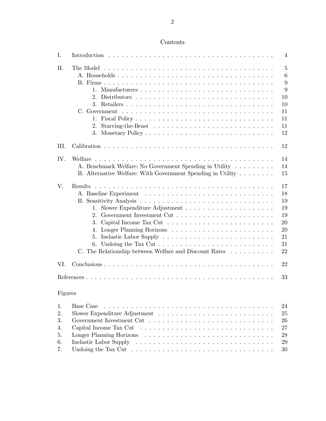| Contents |
|----------|
|----------|

| Ι.                               |                                                                                                                                                                                                                 | 4                                                                 |
|----------------------------------|-----------------------------------------------------------------------------------------------------------------------------------------------------------------------------------------------------------------|-------------------------------------------------------------------|
| П.                               | $1_{-}$<br>$2_{-}$<br>1.<br>2.<br>3.                                                                                                                                                                            | $\overline{5}$<br>6<br>9<br>9<br>10<br>10<br>11<br>11<br>11<br>12 |
| III.                             |                                                                                                                                                                                                                 | 12                                                                |
| IV.                              | A. Benchmark Welfare: No Government Spending in Utility<br>B. Alternative Welfare: With Government Spending in Utility                                                                                          | 14<br>14<br>15                                                    |
| V.                               | <b>Results</b><br>$1_{\cdot}$<br>$2_{-}$<br>3.<br>4.<br>5.<br>Undoing the Tax Cut $\dots \dots \dots \dots \dots \dots \dots \dots \dots \dots$<br>6.<br>C. The Relationship between Welfare and Discount Rates | 17<br>18<br>19<br>19<br>19<br>20<br>20<br>21<br>21<br>22          |
| VI.                              |                                                                                                                                                                                                                 | 22                                                                |
|                                  |                                                                                                                                                                                                                 | 33                                                                |
| Figures                          |                                                                                                                                                                                                                 |                                                                   |
| 1.<br>2.<br>3.<br>4.<br>5.<br>6. | Base Case                                                                                                                                                                                                       | 24<br>25<br>26<br>27<br>28<br>29                                  |

 $7. \hspace*{1em}$  Undoing the Tax Cut  $\hspace*{1em} \ldots \hspace*{1em} \ldots \hspace*{1em} \ldots \hspace*{1em} \ldots \ldots \ldots \ldots \ldots \ldots \hspace*{1em} \ldots \hspace*{1em} 30$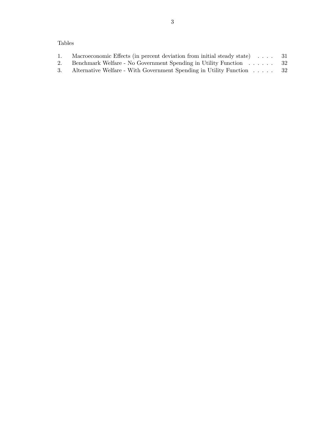# Tables

|    | Macroeconomic Effects (in percent deviation from initial steady state) $\ldots$ 31 |      |
|----|------------------------------------------------------------------------------------|------|
|    | Benchmark Welfare - No Government Spending in Utility Function 32                  |      |
| 3. | Alternative Welfare - With Government Spending in Utility Function                 | - 32 |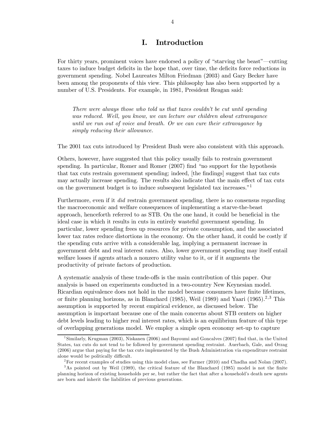# I. Introduction

For thirty years, prominent voices have endorsed a policy of "starving the beast"–cutting taxes to induce budget deficits in the hope that, over time, the deficits force reductions in government spending. Nobel Laureates Milton Friedman (2003) and Gary Becker have been among the proponents of this view. This philosophy has also been supported by a number of U.S. Presidents. For example, in 1981, President Reagan said:

There were always those who told us that taxes couldn't be cut until spending was reduced. Well, you know, we can lecture our children about extravagance until we run out of voice and breath. Or we can cure their extravagance by simply reducing their allowance.

The 2001 tax cuts introduced by President Bush were also consistent with this approach.

Others, however, have suggested that this policy usually fails to restrain government spending. In particular, Romer and Romer (2007) find "no support for the hypothesis that tax cuts restrain government spending; indeed, [the findings] suggest that tax cuts may actually increase spending. The results also indicate that the main effect of tax cuts on the government budget is to induce subsequent legislated tax increases.<sup>"1</sup>

Furthermore, even if it *did* restrain government spending, there is no consensus regarding the macroeconomic and welfare consequences of implementing a starve-the-beast approach, henceforth referred to as STB. On the one hand, it could be beneficial in the ideal case in which it results in cuts in entirely wasteful government spending. In particular, lower spending frees up resources for private consumption, and the associated lower tax rates reduce distortions in the economy. On the other hand, it could be costly if the spending cuts arrive with a considerable lag, implying a permanent increase in government debt and real interest rates. Also, lower government spending may itself entail welfare losses if agents attach a nonzero utility value to it, or if it augments the productivity of private factors of production.

A systematic analysis of these trade-offs is the main contribution of this paper. Our analysis is based on experiments conducted in a two-country New Keynesian model. Ricardian equivalence does not hold in the model because consumers have finite lifetimes, or finite planning horizons, as in Blanchard (1985), Weil (1989) and Yaari (1965).<sup>2,3</sup> This assumption is supported by recent empirical evidence, as discussed below. The assumption is important because one of the main concerns about STB centers on higher debt levels leading to higher real interest rates, which is an equilibrium feature of this type of overlapping generations model. We employ a simple open economy set-up to capture

<sup>&</sup>lt;sup>1</sup>Similarly, Krugman (2003), Niskanen (2006) and Bayoumi and Goncalves (2007) find that, in the United States, tax cuts do not tend to be followed by government spending restraint. Auerbach, Gale, and Orzag (2006) argue that paying for the tax cuts implemented by the Bush Administration via expenditure restraint alone would be politically difficult.

<sup>&</sup>lt;sup>2</sup>For recent examples of studies using this model class, see Farmer (2010) and Chadha and Nolan (2007).

<sup>&</sup>lt;sup>3</sup>As pointed out by Weil (1989), the critical feature of the Blanchard (1985) model is not the finite planning horizon of existing households per se, but rather the fact that after a household's death new agents are born and inherit the liabilities of previous generations.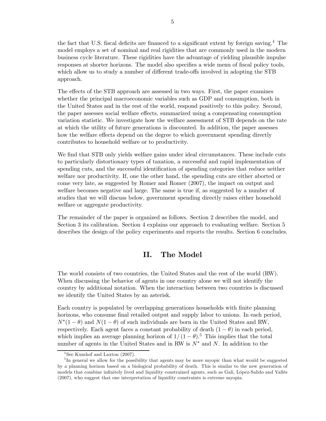the fact that U.S. fiscal deficits are financed to a significant extent by foreign saving.<sup>4</sup> The model employs a set of nominal and real rigidities that are commonly used in the modern business cycle literature. These rigidities have the advantage of yielding plausible impulse responses at shorter horizons. The model also specifies a wide menu of fiscal policy tools, which allow us to study a number of different trade-offs involved in adopting the STB approach.

The effects of the STB approach are assessed in two ways. First, the paper examines whether the principal macroeconomic variables such as GDP and consumption, both in the United States and in the rest of the world, respond positively to this policy. Second, the paper assesses social welfare effects, summarized using a compensating consumption variation statistic. We investigate how the welfare assessment of STB depends on the rate at which the utility of future generations is discounted. In addition, the paper assesses how the welfare effects depend on the degree to which government spending directly contributes to household welfare or to productivity.

We find that STB only yields welfare gains under ideal circumstances. These include cuts to particularly distortionary types of taxation, a successful and rapid implementation of spending cuts, and the successful identification of spending categories that reduce neither welfare nor productivity. If, one the other hand, the spending cuts are either aborted or come very late, as suggested by Romer and Romer (2007), the impact on output and welfare becomes negative and large. The same is true if, as suggested by a number of studies that we will discuss below, government spending directly raises either household welfare or aggregate productivity.

The remainder of the paper is organized as follows. Section 2 describes the model, and Section 3 its calibration. Section 4 explains our approach to evaluating welfare. Section 5 describes the design of the policy experiments and reports the results. Section 6 concludes.

## II. The Model

The world consists of two countries, the United States and the rest of the world (RW). When discussing the behavior of agents in one country alone we will not identify the country by additional notation. When the interaction between two countries is discussed we identify the United States by an asterisk.

Each country is populated by overlapping generations households with finite planning horizons, who consume final retailed output and supply labor to unions. In each period,  $N^*(1-\theta)$  and  $N(1-\theta)$  of such individuals are born in the United States and RW, respectively. Each agent faces a constant probability of death  $(1 - \theta)$  in each period, which implies an average planning horizon of  $1/(1-\theta)$ .<sup>5</sup> This implies that the total number of agents in the United States and in RW is  $N^*$  and N. In addition to the

<sup>&</sup>lt;sup>4</sup>See Kumhof and Laxton (2007).

<sup>&</sup>lt;sup>5</sup>In general we allow for the possibility that agents may be more myopic than what would be suggested by a planning horizon based on a biological probability of death. This is similar to the new generation of models that combine infinitely lived and liquidity constrained agents, such as Gali, López-Salido and Vallés (2007), who suggest that one interpretation of liquidity constraints is extreme myopia.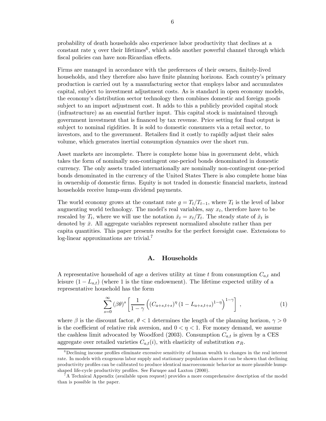probability of death households also experience labor productivity that declines at a constant rate  $\chi$  over their lifetimes<sup>6</sup>, which adds another powerful channel through which fiscal policies can have non-Ricardian effects.

Firms are managed in accordance with the preferences of their owners, finitely-lived households, and they therefore also have finite planning horizons. Each country's primary production is carried out by a manufacturing sector that employs labor and accumulates capital, subject to investment adjustment costs. As is standard in open economy models, the economy's distribution sector technology then combines domestic and foreign goods subject to an import adjustment cost. It adds to this a publicly provided capital stock (infrastructure) as an essential further input. This capital stock is maintained through government investment that is financed by tax revenue. Price setting for final output is subject to nominal rigidities. It is sold to domestic consumers via a retail sector, to investors, and to the government. Retailers find it costly to rapidly adjust their sales volume, which generates inertial consumption dynamics over the short run.

Asset markets are incomplete. There is complete home bias in government debt, which takes the form of nominally non-contingent one-period bonds denominated in domestic currency. The only assets traded internationally are nominally non-contingent one-period bonds denominated in the currency of the United States There is also complete home bias in ownership of domestic firms. Equity is not traded in domestic financial markets, instead households receive lump-sum dividend payments.

The world economy grows at the constant rate  $g = T_t/T_{t-1}$ , where  $T_t$  is the level of labor augmenting world technology. The model's real variables, say  $x_t$ , therefore have to be rescaled by  $T_t$ , where we will use the notation  $\check{x}_t = x_t/T_t$ . The steady state of  $\check{x}_t$  is denoted by  $\bar{x}$ . All aggregate variables represent normalized absolute rather than per capita quantities. This paper presents results for the perfect foresight case. Extensions to log-linear approximations are trivial.<sup>7</sup>

#### A. Households

A representative household of age a derives utility at time t from consumption  $C_{a,t}$  and leisure  $(1 - L_{a,t})$  (where 1 is the time endowment). The lifetime expected utility of a representative household has the form

$$
\sum_{s=0}^{\infty} (\beta \theta)^s \left[ \frac{1}{1-\gamma} \left( (C_{a+s,t+s})^{\eta} (1 - L_{a+s,t+s})^{1-\eta} \right)^{1-\gamma} \right], \qquad (1)
$$

where  $\beta$  is the discount factor,  $\theta < 1$  determines the length of the planning horizon,  $\gamma > 0$ is the coefficient of relative risk aversion, and  $0 < \eta < 1$ . For money demand, we assume the cashless limit advocated by Woodford (2003). Consumption  $C_{a,t}$  is given by a CES aggregate over retailed varieties  $C_{a,t}(i)$ , with elasticity of substitution  $\sigma_R$ .

<sup>&</sup>lt;sup>6</sup>Declining income profiles eliminate excessive sensitivity of human wealth to changes in the real interest rate. In models with exogenous labor supply and stationary population shares it can be shown that declining productivity profiles can be calibrated to produce identical macroeconomic behavior as more plausible humpshaped life-cycle productivity profiles. See Faruqee and Laxton (2000).

<sup>7</sup>A Technical Appendix (available upon request) provides a more comprehensive description of the model than is possible in the paper.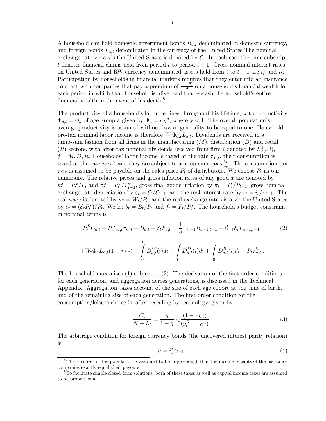A household can hold domestic government bonds  $B_{a,t}$  denominated in domestic currency, and foreign bonds  $F_{a,t}$  denominated in the currency of the United States The nominal exchange rate vis-a-vis the United States is denoted by  $\mathcal{E}_t$ . In each case the time subscript t denotes financial claims held from period t to period  $t + 1$ . Gross nominal interest rates on United States and RW currency denominated assets held from t to  $t + 1$  are  $i_t^*$  and  $i_t$ . Participation by households in financial markets requires that they enter into an insurance contract with companies that pay a premium of  $\frac{(1-\theta)}{\theta}$  on a household's financial wealth for each period in which that household is alive, and that encash the household's entire financial wealth in the event of his death.<sup>8</sup>

The productivity of a household's labor declines throughout his lifetime, with productivity  $\Phi_{a,t} = \Phi_a$  of age group a given by  $\Phi_a = \kappa \chi^a$ , where  $\chi < 1$ . The overall population's average productivity is assumed without loss of generality to be equal to one. Household pre-tax nominal labor income is therefore  $W_t \Phi_{a,t} L_{a,t}$ . Dividends are received in a lump-sum fashion from all firms in the manufacturing  $(M)$ , distribution  $(D)$  and retail (R) sectors, with after-tax nominal dividends received from firm i denoted by  $D_{a,t}^j(i)$ ,  $j = M, D, R$ . Households' labor income is taxed at the rate  $\tau_{L,t}$ , their consumption is taxed at the rate  $\tau_{C,t}$ ,<sup>9</sup> and they are subject to a lump-sum tax  $\tau_{a,t}^{ls}$ . The consumption tax  $\tau_{C,t}$  is assumed to be payable on the sales price  $P_t$  of distributors. We choose  $P_t$  as our numeraire. The relative prices and gross inflation rates of any good  $x$  are denoted by  $p_t^x = P_t^x / P_t$  and  $\pi_t^x = P_t^x / P_{t-1}^x$ , gross final goods inflation by  $\pi_t = P_t / P_{t-1}$ , gross nominal exchange rate depreciation by  $\varepsilon_t = \mathcal{E}_t/\mathcal{E}_{t-1}$ , and the real interest rate by  $r_t = i_t/\pi_{t+1}$ . The real wage is denoted by  $w_t = W_t/P_t$ , and the real exchange rate vis-a-vis the United States by  $e_t = \overline{(\mathcal{E}_t P_t^*)}$ <sup>\*</sup>/ $P_t$ . We let  $b_t = B_t/P_t$  and  $f_t = F_t/P_t^*$ . The household's budget constraint in nominal terms is

$$
P_t^R C_{a,t} + P_t C_{a,t} \tau_{C,t} + B_{a,t} + \mathcal{E}_t F_{a,t} = \frac{1}{\theta} \left[ i_{t-1} B_{a-1,t-1} + i_{t-1}^* \mathcal{E}_t F_{a-1,t-1} \right] \tag{2}
$$

$$
+ W_t \Phi_a L_{a,t} (1 - \tau_{L,t}) + \int_0^1 D_{a,t}^M(i) di + \int_0^1 D_{a,t}^D(i) di + \int_0^1 D_{a,t}^R(i) di - P_t \tau_{a,t}^{ls}.
$$

The household maximizes (1) subject to (2). The derivation of the first-order conditions for each generation, and aggregation across generations, is discussed in the Technical Appendix. Aggregation takes account of the size of each age cohort at the time of birth, and of the remaining size of each generation. The first-order condition for the consumption/leisure choice is, after rescaling by technology, given by

$$
\frac{\check{C}_t}{N - L_t} = \frac{\eta}{1 - \eta} \check{w}_t \frac{(1 - \tau_{L,t})}{(p_t^R + \tau_{C,t})} \,. \tag{3}
$$

The arbitrage condition for foreign currency bonds (the uncovered interest parity relation) is

$$
i_t = i_t^* \varepsilon_{t+1} . \tag{4}
$$

<sup>&</sup>lt;sup>8</sup>The turnover in the population is assumed to be large enough that the income receipts of the insurance companies exactly equal their payouts.

 $9^9$ To facilitate simple closed-form solutions, both of these taxes as well as capital income taxes are assumed to be proportional.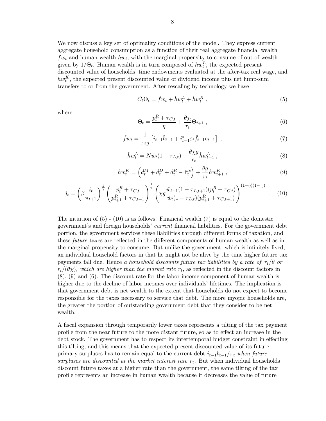We now discuss a key set of optimality conditions of the model. They express current aggregate household consumption as a function of their real aggregate financial wealth  $f_{w_t}$  and human wealth  $h_{w_t}$ , with the marginal propensity to consume of out of wealth given by  $1/\Theta_t$ . Human wealth is in turn composed of  $hw_t^L$ , the expected present discounted value of households' time endowments evaluated at the after-tax real wage, and  $hw_t^K$ , the expected present discounted value of dividend income plus net lump-sum transfers to or from the government. After rescaling by technology we have

$$
\check{C}_t \Theta_t = \check{f} w_t + \check{h} w_t^L + \check{h} w_t^K , \qquad (5)
$$

where

$$
\Theta_t = \frac{p_t^R + \tau_{C,t}}{\eta} + \frac{\theta j_t}{r_t} \Theta_{t+1} \,, \tag{6}
$$

$$
\check{f}w_t = \frac{1}{\pi_t g} \left[ i_{t-1} \check{b}_{t-1} + i_{t-1}^* \varepsilon_t \check{f}_{t-1} e_{t-1} \right] , \qquad (7)
$$

$$
\check{h}w_t^L = N\check{w}_t(1 - \tau_{L,t}) + \frac{\theta \chi g}{r_t} \check{h}w_{t+1}^L , \qquad (8)
$$

$$
\check{h}w_t^K = \left(\check{d}_t^M + \check{d}_t^D + \check{d}_t^R - \check{\tau}_t^{ls}\right) + \frac{\theta g}{r_t}\check{h}w_{t+1}^K,
$$
\n
$$
(9)
$$

$$
j_t = \left(\beta \frac{i_t}{\pi_{t+1}}\right)^{\frac{1}{\gamma}} \left(\frac{p_t^R + \tau_{C,t}}{p_{t+1}^R + \tau_{C,t+1}}\right)^{\frac{1}{\gamma}} \left(\chi g \frac{\check{w}_{t+1}(1-\tau_{L,t+1})(p_t^R + \tau_{C,t})}{\check{w}_t(1-\tau_{L,t})(p_{t+1}^R + \tau_{C,t+1})}\right)^{(1-\eta)(1-\frac{1}{\gamma})}.
$$
 (10)

The intuition of  $(5)$  -  $(10)$  is as follows. Financial wealth  $(7)$  is equal to the domestic government's and foreign households' current financial liabilities. For the government debt portion, the government services these liabilities through different forms of taxation, and these future taxes are reflected in the different components of human wealth as well as in the marginal propensity to consume. But unlike the government, which is infinitely lived, an individual household factors in that he might not be alive by the time higher future tax payments fall due. Hence a household discounts future tax liabilities by a rate of  $r_t/\theta$  or  $r_t/(\theta \chi)$ , which are higher than the market rate  $r_t$ , as reflected in the discount factors in (8), (9) and (6). The discount rate for the labor income component of human wealth is higher due to the decline of labor incomes over individuals' lifetimes. The implication is that government debt is net wealth to the extent that households do not expect to become responsible for the taxes necessary to service that debt. The more myopic households are, the greater the portion of outstanding government debt that they consider to be net wealth.

A fiscal expansion through temporarily lower taxes represents a tilting of the tax payment profile from the near future to the more distant future, so as to effect an increase in the debt stock. The government has to respect its intertemporal budget constraint in effecting this tilting, and this means that the expected present discounted value of its future primary surpluses has to remain equal to the current debt  $i_{t-1}b_{t-1}/\pi_t$  when future surpluses are discounted at the market interest rate  $r_t$ . But when individual households discount future taxes at a higher rate than the government, the same tilting of the tax profile represents an increase in human wealth because it decreases the value of future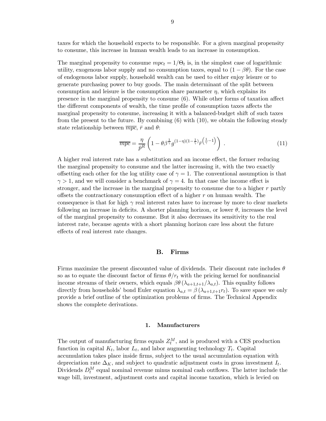taxes for which the household expects to be responsible. For a given marginal propensity to consume, this increase in human wealth leads to an increase in consumption.

The marginal propensity to consume  $mpc_t = 1/\Theta_t$  is, in the simplest case of logarithmic utility, exogenous labor supply and no consumption taxes, equal to  $(1 - \beta \theta)$ . For the case of endogenous labor supply, household wealth can be used to either enjoy leisure or to generate purchasing power to buy goods. The main determinant of the split between consumption and leisure is the consumption share parameter  $\eta$ , which explains its presence in the marginal propensity to consume (6). While other forms of taxation affect the different components of wealth, the time profile of consumption taxes affects the marginal propensity to consume, increasing it with a balanced-budget shift of such taxes from the present to the future. By combining  $(6)$  with  $(10)$ , we obtain the following steady state relationship between  $\overline{mpc}$ ,  $\overline{r}$  and  $\theta$ :

$$
\overline{mpc} = \frac{\eta}{\bar{p}^R} \left( 1 - \theta \beta \frac{1}{\gamma} g^{(1-\eta)(1-\frac{1}{\gamma})} \bar{r}^{\left(\frac{1}{\gamma}-1\right)} \right) . \tag{11}
$$

A higher real interest rate has a substitution and an income effect, the former reducing the marginal propensity to consume and the latter increasing it, with the two exactly offsetting each other for the log utility case of  $\gamma = 1$ . The conventional assumption is that  $\gamma > 1$ , and we will consider a benchmark of  $\gamma = 4$ . In that case the income effect is stronger, and the increase in the marginal propensity to consume due to a higher  $r$  partly offsets the contractionary consumption effect of a higher  $r$  on human wealth. The consequence is that for high  $\gamma$  real interest rates have to increase by more to clear markets following an increase in deficits. A shorter planning horizon, or lower  $\theta$ , increases the level of the marginal propensity to consume. But it also decreases its sensitivity to the real interest rate, because agents with a short planning horizon care less about the future effects of real interest rate changes.

#### B. Firms

Firms maximize the present discounted value of dividends. Their discount rate includes  $\theta$ so as to equate the discount factor of firms  $\theta/r_t$  with the pricing kernel for nonfinancial income streams of their owners, which equals  $\beta\theta$  ( $\lambda_{a+1,t+1}/\lambda_{a,t}$ ). This equality follows directly from households' bond Euler equation  $\lambda_{a,t} = \beta \left( \lambda_{a+1,t+1} r_t \right)$ . To save space we only provide a brief outline of the optimization problems of firms. The Technical Appendix shows the complete derivations.

#### 1. Manufacturers

The output of manufacturing firms equals  $Z_t^M$ , and is produced with a CES production function in capital  $K_t$ , labor  $L_t$ , and labor augmenting technology  $T_t$ . Capital accumulation takes place inside firms, subject to the usual accumulation equation with depreciation rate  $\Delta_K$ , and subject to quadratic adjustment costs in gross investment  $I_t$ . Dividends  $D_t^M$  equal nominal revenue minus nominal cash outflows. The latter include the wage bill, investment, adjustment costs and capital income taxation, which is levied on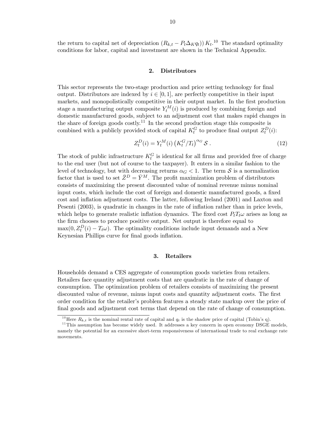the return to capital net of depreciation  $(R_{k,t} - P_t \Delta_K q_t)$   $K_t$ .<sup>10</sup> The standard optimality conditions for labor, capital and investment are shown in the Technical Appendix.

## 2. Distributors

This sector represents the two-stage production and price setting technology for final output. Distributors are indexed by  $i \in [0,1]$ , are perfectly competitive in their input markets, and monopolistically competitive in their output market. In the first production stage a manufacturing output composite  $Y_t^M(i)$  is produced by combining foreign and domestic manufactured goods, subject to an adjustment cost that makes rapid changes in the share of foreign goods costly.<sup>11</sup> In the second production stage this composite is combined with a publicly provided stock of capital  $K_t^G$  to produce final output  $Z_t^D(i)$ :

$$
Z_t^D(i) = Y_t^M(i) \left( K_t^G / T_t \right)^{\alpha_G} \mathcal{S} \,. \tag{12}
$$

The stock of public infrastructure  $K_t^G$  is identical for all firms and provided free of charge to the end user (but not of course to the taxpayer). It enters in a similar fashion to the level of technology, but with decreasing returns  $\alpha_G < 1$ . The term S is a normalization factor that is used to set  $\bar{Z}^D = \bar{Y}^M$ . The profit maximization problem of distributors consists of maximizing the present discounted value of nominal revenue minus nominal input costs, which include the cost of foreign and domestic manufactured goods, a fixed cost and inflation adjustment costs. The latter, following Ireland (2001) and Laxton and Pesenti (2003), is quadratic in changes in the rate of inflation rather than in price levels, which helps to generate realistic inflation dynamics. The fixed cost  $P_tT_t\omega$  arises as long as the firm chooses to produce positive output. Net output is therefore equal to  $\max(0, Z_t^D(i) - T_t \omega)$ . The optimality conditions include input demands and a New Keynesian Phillips curve for final goods inflation.

#### 3. Retailers

Households demand a CES aggregate of consumption goods varieties from retailers. Retailers face quantity adjustment costs that are quadratic in the rate of change of consumption. The optimization problem of retailers consists of maximizing the present discounted value of revenue, minus input costs and quantity adjustment costs. The first order condition for the retailer's problem features a steady state markup over the price of final goods and adjustment cost terms that depend on the rate of change of consumption.

<sup>&</sup>lt;sup>10</sup>Here  $R_{k,t}$  is the nominal rental rate of capital and  $q_t$  is the shadow price of capital (Tobin's q).

 $11$ This assumption has become widely used. It addresses a key concern in open economy DSGE models, namely the potential for an excessive short-term responsiveness of international trade to real exchange rate movements.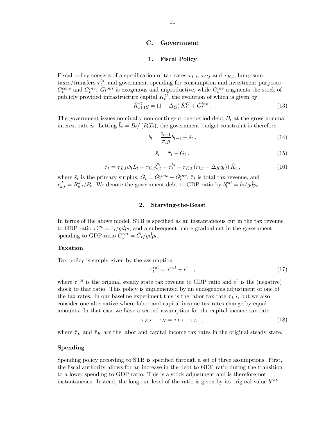### C. Government

## 1. Fiscal Policy

Fiscal policy consists of a specification of tax rates  $\tau_{L,t}$ ,  $\tau_{C,t}$  and  $\tau_{K,t}$ , lump-sum taxes/transfers  $\tau_t^{ls}$ , and government spending for consumption and investment purposes  $G_t^{cons}$  and  $G_t^{inv}$ .  $G_t^{cons}$  is exogenous and unproductive, while  $G_t^{inv}$  augments the stock of publicly provided infrastructure capital  $K_t^G$ , the evolution of which is given by

$$
\check{K}_{t+1}^G g = (1 - \Delta_G) \, \check{K}_t^G + \check{G}_t^{inv} \,. \tag{13}
$$

The government issues nominally non-contingent one-period debt  $B_t$  at the gross nominal interest rate  $i_t$ . Letting  $\check{b}_t = B_t / (P_t T_t)$ , the government budget constraint is therefore

$$
\check{b}_t = \frac{i_{t-1}}{\pi_t g} \check{b}_{t-1} - \check{s}_t , \qquad (14)
$$

$$
\check{s}_t = \check{\tau}_t - \check{G}_t , \qquad (15)
$$

$$
\check{\tau}_t = \tau_{L,t}\check{w}_t L_t + \tau_{C,t}\check{C}_t + \check{\tau}_t^{ls} + \tau_{K,t}\left(r_{k,t} - \Delta_K q_t\right)\check{K}_t, \qquad (16)
$$

where  $\check{s}_t$  is the primary surplus,  $\check{G}_t = \check{G}_t^{cons} + \check{G}_t^{inv}$ ,  $\check{\tau}_t$  is total tax revenue, and  $r_{k,t}^J = R_{k,t}^J/P_t$ . We denote the government debt to GDP ratio by  $b_t^{rat} = \check{b}_t/g\check{d}p_t$ .

### 2. Starving-the-Beast

In terms of the above model, STB is specified as an instantaneous cut in the tax revenue to GDP ratio  $\tau_t^{rat} = \tilde{\tau}_t / g d p_t$ , and a subsequent, more gradual cut in the government spending to GDP ratio  $G_t^{rat} = \check{G}_t/g\check{d}p_t$ .

### Taxation

Tax policy is simply given by the assumption

$$
\tau_t^{rat} = \tau^{rat} + \epsilon^{\tau} \quad , \tag{17}
$$

where  $\tau^{rat}$  is the original steady state tax revenue to GDP ratio and  $\epsilon^{\tau}$  is the (negative) shock to that ratio. This policy is implemented by an endogenous adjustment of one of the tax rates. In our baseline experiment this is the labor tax rate  $\tau_{L,t}$ , but we also consider one alternative where labor and capital income tax rates change by equal amounts. In that case we have a second assumption for the capital income tax rate

$$
\tau_{K,t} - \bar{\tau}_K = \tau_{L,t} - \bar{\tau}_L \quad , \tag{18}
$$

where  $\bar{\tau}_L$  and  $\bar{\tau}_K$  are the labor and capital income tax rates in the original steady state.

## Spending

Spending policy according to STB is specified through a set of three assumptions. First, the fiscal authority allows for an increase in the debt to GDP ratio during the transition to a lower spending to GDP ratio. This is a stock adjustment and is therefore not instantaneous. Instead, the long-run level of the ratio is given by its original value  $b^{rat}$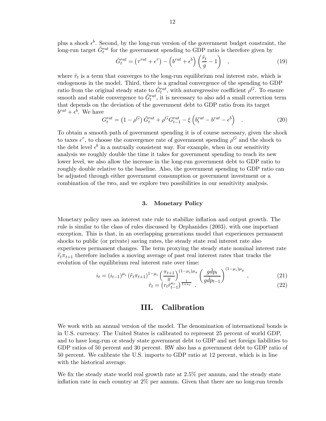plus a shock  $\epsilon^b$ . Second, by the long-run version of the government budget constraint, the long-run target  $\tilde{G}^{rat}_t$  for the government spending to GDP ratio is therefore given by

$$
\tilde{G}^{rat}_t = \left(\tau^{rat} + \epsilon^{\tau}\right) - \left(b^{rat} + \epsilon^b\right) \left(\frac{\tilde{r}_t}{g} - 1\right) , \qquad (19)
$$

where  $\tilde{r}_t$  is a term that converges to the long-run equilibrium real interest rate, which is endogenous in the model. Third, there is a gradual convergence of the spending to GDP ratio from the original steady state to  $\tilde{G}^{rat}_t$ , with autoregressive coefficient  $\rho^G$ . To ensure smooth and stable convergence to  $\tilde{G}_t^{rat}$ , it is necessary to also add a small correction term that depends on the deviation of the government debt to GDP ratio from its target  $b^{rat} + \epsilon^b$ . We have

$$
G_t^{rat} = \left(1 - \rho^G\right) \tilde{G}_t^{rat} + \rho^G G_{t-1}^{rat} - \xi \left(b_t^{rat} - b^{rat} - \epsilon^b\right) \quad . \tag{20}
$$

To obtain a smooth path of government spending it is of course necessary, given the shock to taxes  $\epsilon^{\tau}$ , to choose the convergence rate of government spending  $\rho^G$  and the shock to the debt level  $\epsilon^b$  in a mutually consistent way. For example, when in our sensitivity analysis we roughly double the time it takes for government spending to reach its new lower level, we also allow the increase in the long-run government debt to GDP ratio to roughly double relative to the baseline. Also, the government spending to GDP ratio can be adjusted through either government consumption or government investment or a combination of the two, and we explore two possibilities in our sensitivity analysis.

#### 3. Monetary Policy

Monetary policy uses an interest rate rule to stabilize inflation and output growth. The rule is similar to the class of rules discussed by Orphanides (2003), with one important exception. This is that, in an overlapping generations model that experiences permanent shocks to public (or private) saving rates, the steady state real interest rate also experiences permanent changes. The term proxying the steady state nominal interest rate  $\tilde{r}_t\pi_{t+1}$  therefore includes a moving average of past real interest rates that tracks the evolution of the equilibrium real interest rate over time:

$$
i_{t} = (i_{t-1})^{\mu_{i}} \left(\tilde{r}_{t} \pi_{t+1}\right)^{1-\mu_{i}} \left(\frac{\pi_{t+1}}{\bar{\pi}}\right)^{(1-\mu_{i})\mu_{\pi}} \left(\frac{g\check{d}p_{t}}{g\check{d}p_{t-1}}\right)^{(1-\mu_{i})\mu_{y}}, \qquad (21)
$$

$$
\tilde{r}_{t} = \left(r_{t}\tilde{r}_{t-1}\right)^{1+\kappa_{r}}.
$$

## III. Calibration

We work with an annual version of the model. The denomination of international bonds is in U.S. currency. The United States is calibrated to represent 25 percent of world GDP, and to have long-run or steady state government debt to GDP and net foreign liabilities to GDP ratios of 50 percent and 30 percent. RW also has a government debt to GDP ratio of 50 percent. We calibrate the U.S. imports to GDP ratio at 12 percent, which is in line with the historical average.

We fix the steady state world real growth rate at  $2.5\%$  per annum, and the steady state inflation rate in each country at 2% per annum. Given that there are no long-run trends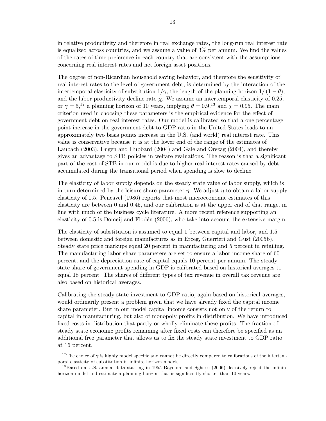in relative productivity and therefore in real exchange rates, the long-run real interest rate is equalized across countries, and we assume a value of 3% per annum. We find the values of the rates of time preference in each country that are consistent with the assumptions concerning real interest rates and net foreign asset positions.

The degree of non-Ricardian household saving behavior, and therefore the sensitivity of real interest rates to the level of government debt, is determined by the interaction of the intertemporal elasticity of substitution  $1/\gamma$ , the length of the planning horizon  $1/(1 - \theta)$ , and the labor productivity decline rate  $\chi$ . We assume an intertemporal elasticity of 0.25, or  $\gamma = 5$ ,<sup>12</sup> a planning horizon of 10 years, implying  $\theta = 0.9$ ,<sup>13</sup> and  $\chi = 0.95$ . The main criterion used in choosing these parameters is the empirical evidence for the effect of government debt on real interest rates. Our model is calibrated so that a one percentage point increase in the government debt to GDP ratio in the United States leads to an approximately two basis points increase in the U.S. (and world) real interest rate. This value is conservative because it is at the lower end of the range of the estimates of Laubach (2003), Engen and Hubbard (2004) and Gale and Orszag (2004), and thereby gives an advantage to STB policies in welfare evaluations. The reason is that a significant part of the cost of STB in our model is due to higher real interest rates caused by debt accumulated during the transitional period when spending is slow to decline.

The elasticity of labor supply depends on the steady state value of labor supply, which is in turn determined by the leisure share parameter  $\eta$ . We adjust  $\eta$  to obtain a labor supply elasticity of 0.5. Pencavel (1986) reports that most microeconomic estimates of this elasticity are between 0 and 0.45, and our calibration is at the upper end of that range, in line with much of the business cycle literature. A more recent reference supporting an elasticity of 0.5 is Domeij and Flodén (2006), who take into account the extensive margin.

The elasticity of substitution is assumed to equal 1 between capital and labor, and 1.5 between domestic and foreign manufactures as in Erceg, Guerrieri and Gust (2005b). Steady state price markups equal 20 percent in manufacturing and 5 percent in retailing. The manufacturing labor share parameters are set to ensure a labor income share of 60 percent, and the depreciation rate of capital equals 10 percent per annum. The steady state share of government spending in GDP is calibrated based on historical averages to equal 18 percent. The shares of different types of tax revenue in overall tax revenue are also based on historical averages.

Calibrating the steady state investment to GDP ratio, again based on historical averages, would ordinarily present a problem given that we have already fixed the capital income share parameter. But in our model capital income consists not only of the return to capital in manufacturing, but also of monopoly profits in distribution. We have introduced fixed costs in distribution that partly or wholly eliminate these profits. The fraction of steady state economic profits remaining after fixed costs can therefore be specified as an additional free parameter that allows us to fix the steady state investment to GDP ratio at 16 percent.

<sup>&</sup>lt;sup>12</sup>The choice of  $\gamma$  is highly model specific and cannot be directly compared to calibrations of the intertemporal elasticity of substitution in infinite-horizon models.

<sup>&</sup>lt;sup>13</sup>Based on U.S. annual data starting in 1955 Bayoumi and Sgherri (2006) decisively reject the infinite horizon model and estimate a planning horizon that is significantly shorter than 10 years.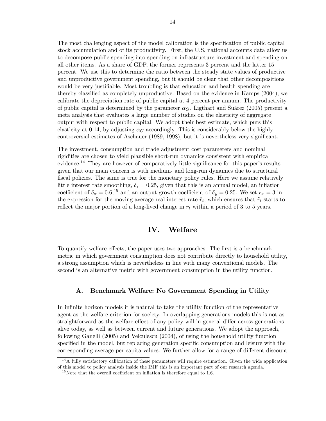The most challenging aspect of the model calibration is the specification of public capital stock accumulation and of its productivity. First, the U.S. national accounts data allow us to decompose public spending into spending on infrastructure investment and spending on all other items. As a share of GDP, the former represents 3 percent and the latter 15 percent. We use this to determine the ratio between the steady state values of productive and unproductive government spending, but it should be clear that other decompositions would be very justifiable. Most troubling is that education and health spending are thereby classified as completely unproductive. Based on the evidence in Kamps (2004), we calibrate the depreciation rate of public capital at 4 percent per annum. The productivity of public capital is determined by the parameter  $\alpha_G$ . Ligthart and Suárez (2005) present a meta analysis that evaluates a large number of studies on the elasticity of aggregate output with respect to public capital. We adopt their best estimate, which puts this elasticity at 0.14, by adjusting  $\alpha$  accordingly. This is considerably below the highly controversial estimates of Aschauer (1989, 1998), but it is nevertheless very significant.

The investment, consumption and trade adjustment cost parameters and nominal rigidities are chosen to yield plausible short-run dynamics consistent with empirical evidence.<sup>14</sup> They are however of comparatively little significance for this paper's results given that our main concern is with medium- and long-run dynamics due to structural fiscal policies. The same is true for the monetary policy rules. Here we assume relatively little interest rate smoothing,  $\delta_i = 0.25$ , given that this is an annual model, an inflation coefficient of  $\delta_{\pi} = 0.6$ ,<sup>15</sup> and an output growth coefficient of  $\delta_{y} = 0.25$ . We set  $\kappa_{r} = 3$  in the expression for the moving average real interest rate  $\tilde{r}_t$ , which ensures that  $\tilde{r}_t$  starts to reflect the major portion of a long-lived change in  $r_t$  within a period of 3 to 5 years.

# IV. Welfare

To quantify welfare effects, the paper uses two approaches. The first is a benchmark metric in which government consumption does not contribute directly to household utility, a strong assumption which is nevertheless in line with many conventional models. The second is an alternative metric with government consumption in the utility function.

## A. Benchmark Welfare: No Government Spending in Utility

In infinite horizon models it is natural to take the utility function of the representative agent as the welfare criterion for society. In overlapping generations models this is not as straightforward as the welfare effect of any policy will in general differ across generations alive today, as well as between current and future generations. We adopt the approach, following Ganelli (2005) and Velculescu (2004), of using the household utility function specified in the model, but replacing generation specific consumption and leisure with the corresponding average per capita values. We further allow for a range of different discount

 $14A$  fully satisfactory calibration of these parameters will require estimation. Given the wide application of this model to policy analysis inside the IMF this is an important part of our research agenda.

 $15$ Note that the overall coefficient on inflation is therefore equal to 1.6.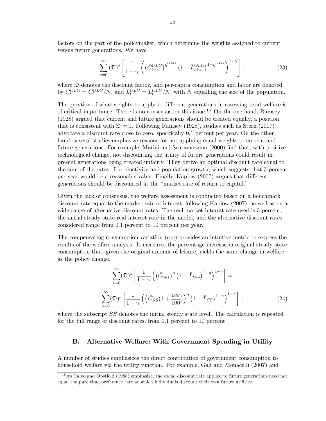factors on the part of the policymaker, which determine the weights assigned to current versus future generations. We have

$$
\sum_{s=0}^{\infty} (\mathfrak{D})^s \left[ \frac{1}{1-\gamma} \left( \left( \bar{C}_{t+s}^{OLS} \right)^{\eta^{OLS}} \left( 1 - \bar{L}_{t+s}^{OLS} \right)^{1-\eta^{OLS}} \right)^{1-\gamma} \right], \tag{23}
$$

where  $\mathfrak D$  denotes the discount factor, and per-capita consumption and labor are denoted by  $\bar{C}_{t}^{OLS} = \tilde{C}_{t}^{OLS}/N$ , and  $\bar{L}_{t}^{OLS} = L_{t}^{OLS}/N$ , with N equalling the size of the population.

The question of what weights to apply to different generations in assessing total welfare is of critical importance. There is no consensus on this issue.<sup>16</sup> On the one hand, Ramsey (1928) argued that current and future generations should be treated equally, a position that is consistent with  $\mathfrak{D} = 1$ . Following Ramsey (1928), studies such as Stern (2007) advocate a discount rate close to zero, specifically 0.1 percent per year. On the other hand, several studies emphasize reasons for not applying equal weights to current and future generations. For example, Marini and Scaramozzino (2000) find that, with positive technological change, not discounting the utility of future generations could result in present generations being treated unfairly. They derive an optimal discount rate equal to the sum of the rates of productivity and population growth, which suggests that 3 percent per year would be a reasonable value. Finally, Kaplow (2007) argues that different generations should be discounted at the "market rate of return to capital."

Given the lack of consensus, the welfare assessment is conducted based on a benchmark discount rate equal to the market rate of interest, following Kaplow (2007), as well as on a wide range of alternative discount rates. The real market interest rate used is 3 percent, the initial steady-state real interest rate in the model, and the alternative discount rates considered range from 0.1 percent to 10 percent per year.

The compensating consumption variation  $(ccv)$  provides an intuitive metric to express the results of the welfare analysis. It measures the percentage increase in original steady state consumption that, given the original amount of leisure, yields the same change in welfare as the policy change,

$$
\sum_{s=0}^{\infty} (\mathfrak{D})^s \left[ \frac{1}{1-\gamma} \left( \left( \bar{C}_{t+s} \right)^{\eta} \left( 1 - \bar{L}_{t+s} \right)^{1-\eta} \right)^{1-\gamma} \right] =
$$
  

$$
\sum_{s=0}^{\infty} (\mathfrak{D})^s \left[ \frac{1}{1-\gamma} \left( \left( \bar{C}_{SS} \left( 1 + \frac{ccv}{100} \right)^{\eta} \left( 1 - \bar{L}_{SS} \right)^{1-\eta} \right)^{1-\gamma} \right],
$$
 (24)

where the subscript SS denotes the initial steady state level. The calculation is repeated for the full range of discount rates, from 0.1 percent to 10 percent.

## B. Alternative Welfare: With Government Spending in Utility

A number of studies emphasizes the direct contribution of government consumption to household welfare via the utility function. For example, Gali and Monacelli (2007) and

 $16$ As Calvo and Obstfeld (1988) emphasize, the social discount rate applied to future generations need not equal the pure time preference rate at which individuals discount their own future utilities.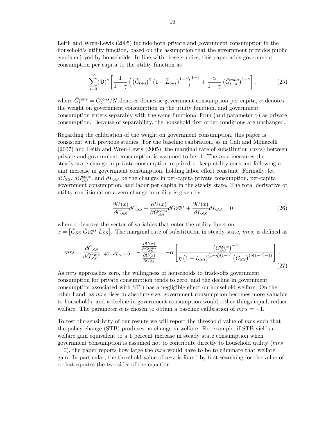Leith and Wren-Lewis (2005) include both private and government consumption in the household's utility function, based on the assumption that the government provides public goods enjoyed by households. In line with these studies, this paper adds government consumption per capita to the utility function as

$$
\sum_{s=0}^{\infty} (\mathfrak{D})^s \left[ \frac{1}{1-\gamma} \left( \left( \bar{C}_{t+s} \right)^{\eta} \left( 1 - \bar{L}_{t+s} \right)^{1-\eta} \right)^{1-\gamma} + \frac{\alpha}{1-\gamma} \left( \bar{G}_{t+s}^{cons} \right)^{1-\gamma} \right],\tag{25}
$$

where  $\bar{G}^{cons}_{t} = \tilde{G}^{cons}_{t}/N$  denotes domestic government consumption per capita,  $\alpha$  denotes the weight on government consumption in the utility function, and government consumption enters separably with the same functional form (and parameter  $\gamma$ ) as private consumption. Because of separability, the household first order conditions are unchanged.

Regarding the calibration of the weight on government consumption, this paper is consistent with previous studies. For the baseline calibration, as in Gali and Monacelli  $(2007)$  and Leith and Wren-Lewis  $(2005)$ , the marginal rate of substitution  $(mrs)$  between private and government consumption is assumed to be -1. The mrs measures the steady-state change in private consumption required to keep utility constant following a unit increase in government consumption, holding labor effort constant. Formally, let  $d\bar{C}_{SS}$ ,  $d\bar{G}_{SS}^{cons}$ , and  $d\bar{L}_{SS}$  be the changes in per-capita private consumption, per-capita government consumption, and labor per capita in the steady state. The total derivative of utility conditional on a zero change in utility is given by

$$
\frac{\partial U(x)}{\partial \bar{C}_{SS}} d\bar{C}_{SS} + \frac{\partial U(x)}{\partial \bar{G}_{SS}^{cons}} d\bar{G}_{SS}^{cons} + \frac{\partial U(x)}{\partial \bar{L}_{SS}} d\bar{L}_{SS} = 0 \tag{26}
$$

where  $x$  denotes the vector of variables that enter the utility function,  $x = \left[\bar{C}_{SS}\ \bar{G}_{SS}^{cons}\ \bar{L}_{SS}\right]$ . The marginal rate of substitution in steady state, mrs, is defined as

$$
mrs = \frac{d\bar{C}_{SS}}{d\bar{G}_{SS}^{cons}}|_{dU=d\bar{L}_{SS}=0} = -\frac{\frac{\partial U(x)}{\partial G_{SS}^{cons}}}{\frac{\partial U(x)}{\partial \bar{C}_{SS}}} = -\alpha \left[ \frac{\left(\bar{G}_{SS}^{cons}\right)^{-\gamma}}{\eta \left(1 - \bar{L}_{SS}\right)^{(1-\eta)(1-\gamma)} \left(\bar{C}_{SS}\right)^{(\eta(1-\gamma)-1)}} \right].
$$
\n(27)

As mrs approaches zero, the willingness of households to trade-offs government consumption for private consumption tends to zero, and the decline in government consumption associated with STB has a negligible effect on household welfare. On the other hand, as mrs rises in absolute size, government consumption becomes more valuable to households, and a decline in government consumption would, other things equal, reduce welfare. The parameter  $\alpha$  is chosen to obtain a baseline calibration of  $mrs = -1$ .

To test the sensitivity of our results we will report the threshold value of mrs such that the policy change (STB) produces no change in welfare. For example, if STB yields a welfare gain equivalent to a 1 percent increase in steady state consumption when government consumption is assumed not to contribute directly to household utility (mrs  $= 0$ , the paper reports how large the mrs would have to be to eliminate that welfare gain. In particular, the threshold value of mrs is found by first searching for the value of  $\alpha$  that equates the two sides of the equation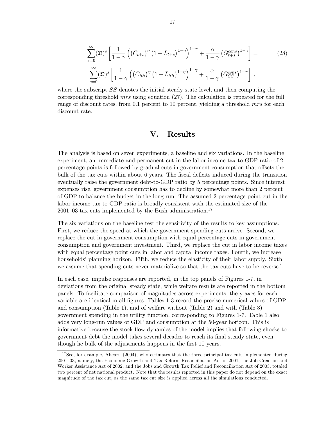$$
\sum_{s=0}^{\infty} (\mathfrak{D})^s \left[ \frac{1}{1-\gamma} \left( \left( \bar{C}_{t+s} \right)^{\eta} \left( 1 - \bar{L}_{t+s} \right)^{1-\eta} \right)^{1-\gamma} + \frac{\alpha}{1-\gamma} \left( \bar{G}_{t+s}^{cons} \right)^{1-\gamma} \right] = \sum_{s=0}^{\infty} (\mathfrak{D})^s \left[ \frac{1}{1-\gamma} \left( \left( \bar{C}_{SS} \right)^{\eta} \left( 1 - \bar{L}_{SS} \right)^{1-\eta} \right)^{1-\gamma} + \frac{\alpha}{1-\gamma} \left( \bar{G}_{SS}^{cons} \right)^{1-\gamma} \right],
$$
\n(28)

where the subscript SS denotes the initial steady state level, and then computing the corresponding threshold mrs using equation (27). The calculation is repeated for the full range of discount rates, from 0.1 percent to 10 percent, yielding a threshold mrs for each discount rate.

## V. Results

The analysis is based on seven experiments, a baseline and six variations. In the baseline experiment, an immediate and permanent cut in the labor income tax-to-GDP ratio of 2 percentage points is followed by gradual cuts in government consumption that offsets the bulk of the tax cuts within about 6 years. The fiscal deficits induced during the transition eventually raise the government debt-to-GDP ratio by 5 percentage points. Since interest expenses rise, government consumption has to decline by somewhat more than 2 percent of GDP to balance the budget in the long run. The assumed 2 percentage point cut in the labor income tax to GDP ratio is broadly consistent with the estimated size of the 2001–03 tax cuts implemented by the Bush administration.<sup>17</sup>

The six variations on the baseline test the sensitivity of the results to key assumptions. First, we reduce the speed at which the government spending cuts arrive. Second, we replace the cut in government consumption with equal percentage cuts in government consumption and government investment. Third, we replace the cut in labor income taxes with equal percentage point cuts in labor and capital income taxes. Fourth, we increase households' planning horizon. Fifth, we reduce the elasticity of their labor supply. Sixth, we assume that spending cuts never materialize so that the tax cuts have to be reversed.

In each case, impulse responses are reported, in the top panels of Figures 1-7, in deviations from the original steady state, while welfare results are reported in the bottom panels. To facilitate comparison of magnitudes across experiments, the y-axes for each variable are identical in all figures. Tables 1-3 record the precise numerical values of GDP and consumption (Table 1), and of welfare without (Table 2) and with (Table 3) government spending in the utility function, corresponding to Figures 1-7. Table 1 also adds very long-run values of GDP and consumption at the 50-year horizon. This is informative because the stock-flow dynamics of the model implies that following shocks to government debt the model takes several decades to reach its final steady state, even though he bulk of the adjustments happens in the first 10 years.

 $17$ See, for example, Ahearn (2004), who estimates that the three principal tax cuts implemented during 2001—03, namely, the Economic Growth and Tax Reform Reconciliation Act of 2001, the Job Creation and Worker Assistance Act of 2002, and the Jobs and Growth Tax Relief and Reconciliation Act of 2003, totaled two percent of net national product. Note that the results reported in this paper do not depend on the exact magnitude of the tax cut, as the same tax cut size is applied across all the simulations conducted.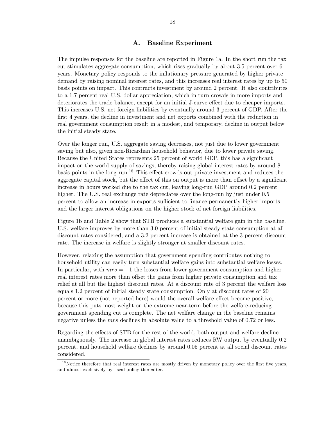## A. Baseline Experiment

The impulse responses for the baseline are reported in Figure 1a. In the short run the tax cut stimulates aggregate consumption, which rises gradually by about 3.5 percent over 6 years. Monetary policy responds to the inflationary pressure generated by higher private demand by raising nominal interest rates, and this increases real interest rates by up to 50 basis points on impact. This contracts investment by around 2 percent. It also contributes to a 1.7 percent real U.S. dollar appreciation, which in turn crowds in more imports and deteriorates the trade balance, except for an initial J-curve effect due to cheaper imports. This increases U.S. net foreign liabilities by eventually around 3 percent of GDP. After the first 4 years, the decline in investment and net exports combined with the reduction in real government consumption result in a modest, and temporary, decline in output below the initial steady state.

Over the longer run, U.S. aggregate saving decreases, not just due to lower government saving but also, given non-Ricardian household behavior, due to lower private saving. Because the United States represents 25 percent of world GDP, this has a significant impact on the world supply of savings, thereby raising global interest rates by around 8 basis points in the long run.<sup>18</sup> This effect crowds out private investment and reduces the aggregate capital stock, but the effect of this on output is more than offset by a significant increase in hours worked due to the tax cut, leaving long-run GDP around 0.2 percent higher. The U.S. real exchange rate depreciates over the long-run by just under 0.5 percent to allow an increase in exports sufficient to finance permanently higher imports and the larger interest obligations on the higher stock of net foreign liabilities.

Figure 1b and Table 2 show that STB produces a substantial welfare gain in the baseline. U.S. welfare improves by more than 3.0 percent of initial steady state consumption at all discount rates considered, and a 3.2 percent increase is obtained at the 3 percent discount rate. The increase in welfare is slightly stronger at smaller discount rates.

However, relaxing the assumption that government spending contributes nothing to household utility can easily turn substantial welfare gains into substantial welfare losses. In particular, with  $mrs = -1$  the losses from lower government consumption and higher real interest rates more than offset the gains from higher private consumption and tax relief at all but the highest discount rates. At a discount rate of 3 percent the welfare loss equals 1.2 percent of initial steady state consumption. Only at discount rates of 20 percent or more (not reported here) would the overall welfare effect become positive, because this puts most weight on the extreme near-term before the welfare-reducing government spending cut is complete. The net welfare change in the baseline remains negative unless the *mrs* declines in absolute value to a threshold value of 0.72 or less.

Regarding the effects of STB for the rest of the world, both output and welfare decline unambiguously. The increase in global interest rates reduces RW output by eventually 0.2 percent, and household welfare declines by around 0.05 percent at all social discount rates considered.

<sup>&</sup>lt;sup>18</sup>Notice therefore that real interest rates are mostly driven by monetary policy over the first five years, and almost exclusively by fiscal policy thereafter.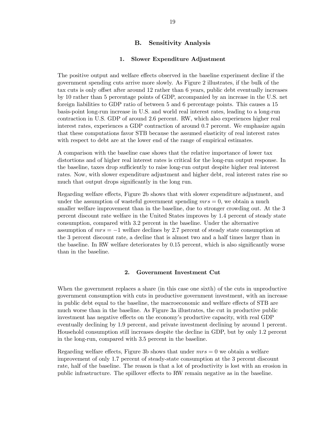## B. Sensitivity Analysis

## 1. Slower Expenditure Adjustment

The positive output and welfare effects observed in the baseline experiment decline if the government spending cuts arrive more slowly. As Figure 2 illustrates, if the bulk of the tax cuts is only offset after around 12 rather than 6 years, public debt eventually increases by 10 rather than 5 percentage points of GDP, accompanied by an increase in the U.S. net foreign liabilities to GDP ratio of between 5 and 6 percentage points. This causes a 15 basis-point long-run increase in U.S. and world real interest rates, leading to a long-run contraction in U.S. GDP of around 2.6 percent. RW, which also experiences higher real interest rates, experiences a GDP contraction of around 0.7 percent. We emphasize again that these computations favor STB because the assumed elasticity of real interest rates with respect to debt are at the lower end of the range of empirical estimates.

A comparison with the baseline case shows that the relative importance of lower tax distortions and of higher real interest rates is critical for the long-run output response. In the baseline, taxes drop sufficiently to raise long-run output despite higher real interest rates. Now, with slower expenditure adjustment and higher debt, real interest rates rise so much that output drops significantly in the long run.

Regarding welfare effects, Figure 2b shows that with slower expenditure adjustment, and under the assumption of wasteful government spending  $mrs = 0$ , we obtain a much smaller welfare improvement than in the baseline, due to stronger crowding out. At the 3 percent discount rate welfare in the United States improves by 1.4 percent of steady state consumption, compared with 3.2 percent in the baseline. Under the alternative assumption of  $mrs = -1$  welfare declines by 2.7 percent of steady state consumption at the 3 percent discount rate, a decline that is almost two and a half times larger than in the baseline. In RW welfare deteriorates by 0.15 percent, which is also significantly worse than in the baseline.

## 2. Government Investment Cut

When the government replaces a share (in this case one sixth) of the cuts in unproductive government consumption with cuts in productive government investment, with an increase in public debt equal to the baseline, the macroeconomic and welfare effects of STB are much worse than in the baseline. As Figure 3a illustrates, the cut in productive public investment has negative effects on the economy's productive capacity, with real GDP eventually declining by 1.9 percent, and private investment declining by around 1 percent. Household consumption still increases despite the decline in GDP, but by only 1.2 percent in the long-run, compared with 3.5 percent in the baseline.

Regarding welfare effects, Figure 3b shows that under  $mrs = 0$  we obtain a welfare improvement of only 1.7 percent of steady-state consumption at the 3 percent discount rate, half of the baseline. The reason is that a lot of productivity is lost with an erosion in public infrastructure. The spillover effects to RW remain negative as in the baseline.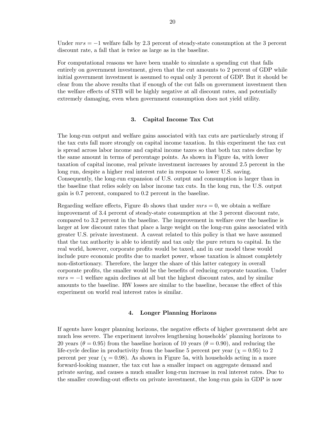Under  $mrs = -1$  welfare falls by 2.3 percent of steady-state consumption at the 3 percent discount rate, a fall that is twice as large as in the baseline.

For computational reasons we have been unable to simulate a spending cut that falls entirely on government investment, given that the cut amounts to 2 percent of GDP while initial government investment is assumed to equal only 3 percent of GDP. But it should be clear from the above results that if enough of the cut falls on government investment then the welfare effects of STB will be highly negative at all discount rates, and potentially extremely damaging, even when government consumption does not yield utility.

## 3. Capital Income Tax Cut

The long-run output and welfare gains associated with tax cuts are particularly strong if the tax cuts fall more strongly on capital income taxation. In this experiment the tax cut is spread across labor income and capital income taxes so that both tax rates decline by the same amount in terms of percentage points. As shown in Figure 4a, with lower taxation of capital income, real private investment increases by around 2.5 percent in the long run, despite a higher real interest rate in response to lower U.S. saving. Consequently, the long-run expansion of U.S. output and consumption is larger than in the baseline that relies solely on labor income tax cuts. In the long run, the U.S. output gain is 0.7 percent, compared to 0.2 percent in the baseline.

Regarding welfare effects, Figure 4b shows that under  $mrs = 0$ , we obtain a welfare improvement of 3.4 percent of steady-state consumption at the 3 percent discount rate, compared to 3.2 percent in the baseline. The improvement in welfare over the baseline is larger at low discount rates that place a large weight on the long-run gains associated with greater U.S. private investment. A caveat related to this policy is that we have assumed that the tax authority is able to identify and tax only the pure return to capital. In the real world, however, corporate profits would be taxed, and in our model these would include pure economic profits due to market power, whose taxation is almost completely non-distortionary. Therefore, the larger the share of this latter category in overall corporate profits, the smaller would be the benefits of reducing corporate taxation. Under  $mrs = -1$  welfare again declines at all but the highest discount rates, and by similar amounts to the baseline. RW losses are similar to the baseline, because the effect of this experiment on world real interest rates is similar.

### 4. Longer Planning Horizons

If agents have longer planning horizons, the negative effects of higher government debt are much less severe. The experiment involves lengthening households' planning horizons to 20 years ( $\theta = 0.95$ ) from the baseline horizon of 10 years ( $\theta = 0.90$ ), and reducing the life-cycle decline in productivity from the baseline 5 percent per year  $(\chi = 0.95)$  to 2 percent per year ( $\chi = 0.98$ ). As shown in Figure 5a, with households acting in a more forward-looking manner, the tax cut has a smaller impact on aggregate demand and private saving, and causes a much smaller long-run increase in real interest rates. Due to the smaller crowding-out effects on private investment, the long-run gain in GDP is now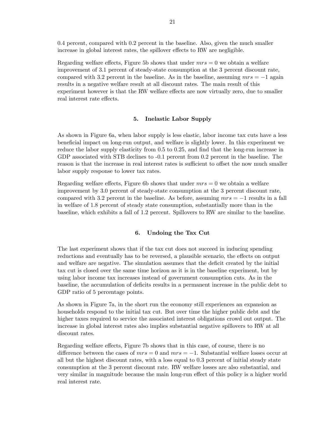0.4 percent, compared with 0.2 percent in the baseline. Also, given the much smaller increase in global interest rates, the spillover effects to RW are negligible.

Regarding welfare effects, Figure 5b shows that under  $mrs = 0$  we obtain a welfare improvement of 3.1 percent of steady-state consumption at the 3 percent discount rate, compared with 3.2 percent in the baseline. As in the baseline, assuming  $mrs = -1$  again results in a negative welfare result at all discount rates. The main result of this experiment however is that the RW welfare effects are now virtually zero, due to smaller real interest rate effects.

#### 5. Inelastic Labor Supply

As shown in Figure 6a, when labor supply is less elastic, labor income tax cuts have a less beneficial impact on long-run output, and welfare is slightly lower. In this experiment we reduce the labor supply elasticity from 0.5 to 0.25, and find that the long-run increase in GDP associated with STB declines to  $-0.1$  percent from 0.2 percent in the baseline. The reason is that the increase in real interest rates is sufficient to offset the now much smaller labor supply response to lower tax rates.

Regarding welfare effects, Figure 6b shows that under  $mrs = 0$  we obtain a welfare improvement by 3.0 percent of steady-state consumption at the 3 percent discount rate, compared with 3.2 percent in the baseline. As before, assuming  $mrs = -1$  results in a fall in welfare of 1.8 percent of steady state consumption, substantially more than in the baseline, which exhibits a fall of 1.2 percent. Spillovers to RW are similar to the baseline.

#### 6. Undoing the Tax Cut

The last experiment shows that if the tax cut does not succeed in inducing spending reductions and eventually has to be reversed, a plausible scenario, the effects on output and welfare are negative. The simulation assumes that the deficit created by the initial tax cut is closed over the same time horizon as it is in the baseline experiment, but by using labor income tax increases instead of government consumption cuts. As in the baseline, the accumulation of deficits results in a permanent increase in the public debt to GDP ratio of 5 percentage points.

As shown in Figure 7a, in the short run the economy still experiences an expansion as households respond to the initial tax cut. But over time the higher public debt and the higher taxes required to service the associated interest obligations crowd out output. The increase in global interest rates also implies substantial negative spillovers to RW at all discount rates.

Regarding welfare effects, Figure 7b shows that in this case, of course, there is no difference between the cases of  $mrs = 0$  and  $mrs = -1$ . Substantial welfare losses occur at all but the highest discount rates, with a loss equal to 0.3 percent of initial steady state consumption at the 3 percent discount rate. RW welfare losses are also substantial, and very similar in magnitude because the main long-run effect of this policy is a higher world real interest rate.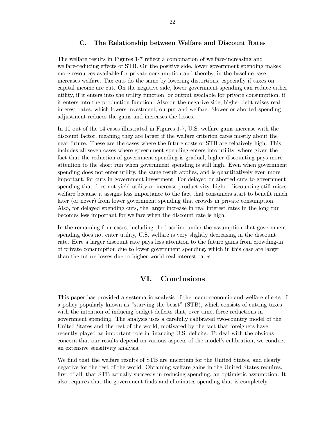## C. The Relationship between Welfare and Discount Rates

The welfare results in Figures 1-7 reflect a combination of welfare-increasing and welfare-reducing effects of STB. On the positive side, lower government spending makes more resources available for private consumption and thereby, in the baseline case, increases welfare. Tax cuts do the same by lowering distortions, especially if taxes on capital income are cut. On the negative side, lower government spending can reduce either utility, if it enters into the utility function, or output available for private consumption, if it enters into the production function. Also on the negative side, higher debt raises real interest rates, which lowers investment, output and welfare. Slower or aborted spending adjustment reduces the gains and increases the losses.

In 10 out of the 14 cases illustrated in Figures 1-7, U.S. welfare gains increase with the discount factor, meaning they are larger if the welfare criterion cares mostly about the near future. These are the cases where the future costs of STB are relatively high. This includes all seven cases where government spending enters into utility, where given the fact that the reduction of government spending is gradual, higher discounting pays more attention to the short run when government spending is still high. Even when government spending does not enter utility, the same result applies, and is quantitatively even more important, for cuts in government investment. For delayed or aborted cuts to government spending that does not yield utility or increase productivity, higher discounting still raises welfare because it assigns less importance to the fact that consumers start to benefit much later (or never) from lower government spending that crowds in private consumption. Also, for delayed spending cuts, the larger increase in real interest rates in the long run becomes less important for welfare when the discount rate is high.

In the remaining four cases, including the baseline under the assumption that government spending does not enter utility, U.S. welfare is very slightly decreasing in the discount rate. Here a larger discount rate pays less attention to the future gains from crowding-in of private consumption due to lower government spending, which in this case are larger than the future losses due to higher world real interest rates.

# VI. Conclusions

This paper has provided a systematic analysis of the macroeconomic and welfare effects of a policy popularly known as "starving the beast" (STB), which consists of cutting taxes with the intention of inducing budget deficits that, over time, force reductions in government spending. The analysis uses a carefully calibrated two-country model of the United States and the rest of the world, motivated by the fact that foreigners have recently played an important role in financing U.S. deficits. To deal with the obvious concern that our results depend on various aspects of the model's calibration, we conduct an extensive sensitivity analysis.

We find that the welfare results of STB are uncertain for the United States, and clearly negative for the rest of the world. Obtaining welfare gains in the United States requires, first of all, that STB actually succeeds in reducing spending, an optimistic assumption. It also requires that the government finds and eliminates spending that is completely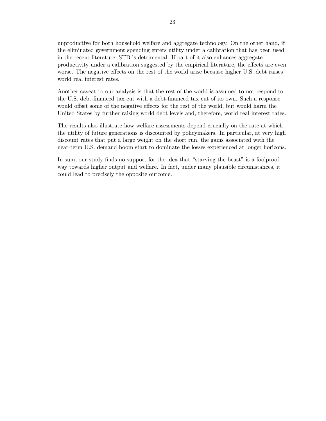unproductive for both household welfare and aggregate technology. On the other hand, if the eliminated government spending enters utility under a calibration that has been used in the recent literature, STB is detrimental. If part of it also enhances aggregate productivity under a calibration suggested by the empirical literature, the effects are even worse. The negative effects on the rest of the world arise because higher U.S. debt raises world real interest rates.

Another caveat to our analysis is that the rest of the world is assumed to not respond to the U.S. debt-financed tax cut with a debt-financed tax cut of its own. Such a response would offset some of the negative effects for the rest of the world, but would harm the United States by further raising world debt levels and, therefore, world real interest rates.

The results also illustrate how welfare assessments depend crucially on the rate at which the utility of future generations is discounted by policymakers. In particular, at very high discount rates that put a large weight on the short run, the gains associated with the near-term U.S. demand boom start to dominate the losses experienced at longer horizons.

In sum, our study finds no support for the idea that "starving the beast" is a foolproof way towards higher output and welfare. In fact, under many plausible circumstances, it could lead to precisely the opposite outcome.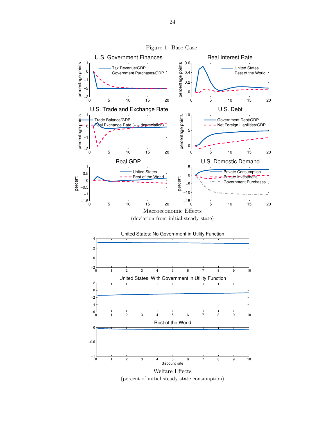

Figure 1. Base Case

Welfare Effects (percent of initial steady state consumption)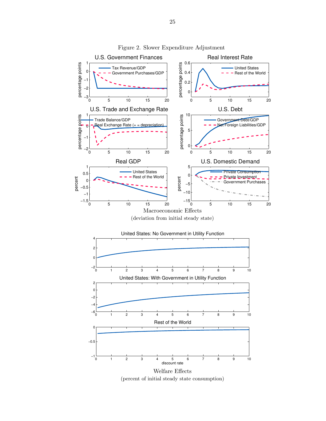

Figure 2. Slower Expenditure Adjustment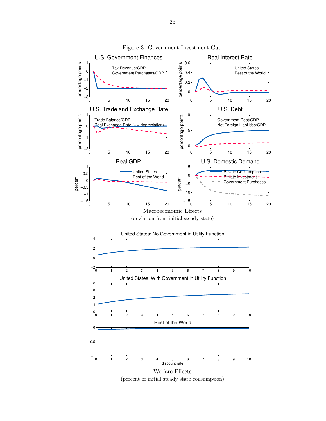

Figure 3. Government Investment Cut

Welfare Effects (percent of initial steady state consumption)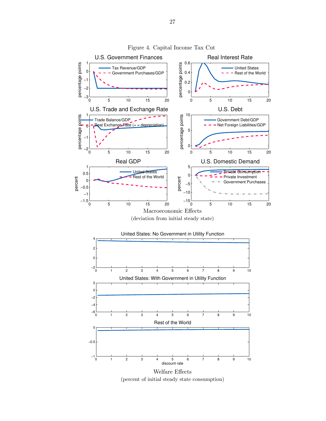

Figure 4. Capital Income Tax Cut

(percent of initial steady state consumption)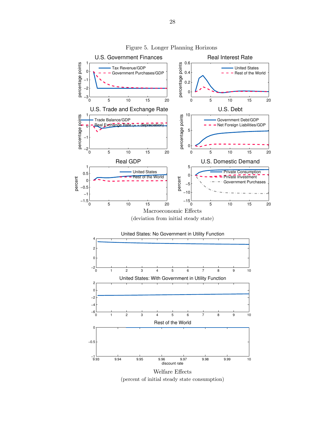

Figure 5. Longer Planning Horizons

(percent of initial steady state consumption)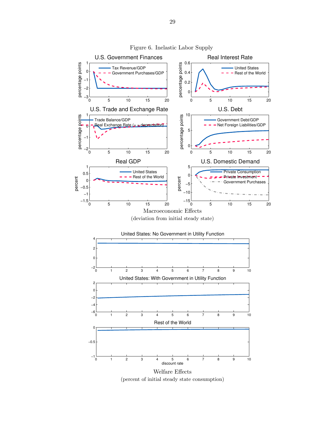

Figure 6. Inelastic Labor Supply

Welfare Effects (percent of initial steady state consumption)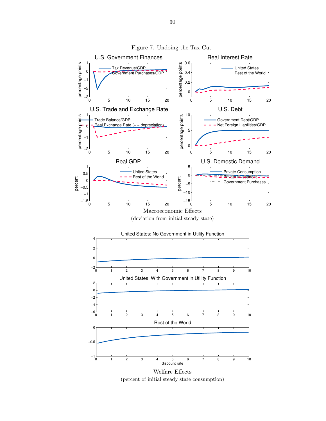

Figure 7. Undoing the Tax Cut

(percent of initial steady state consumption)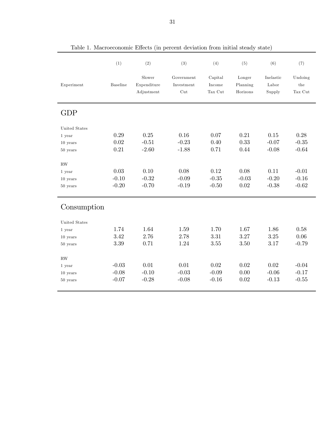|                                      | (1)             | (2)                                 | (3)                             | (4)                          | (5)                            | (6)                          | (7)                                |  |
|--------------------------------------|-----------------|-------------------------------------|---------------------------------|------------------------------|--------------------------------|------------------------------|------------------------------------|--|
| Experiment                           | <b>Baseline</b> | Slower<br>Expenditure<br>Adjustment | Government<br>Investment<br>Cut | Capital<br>Income<br>Tax Cut | Longer<br>Planning<br>Horizons | Inelastic<br>Labor<br>Supply | Undoing<br>$_{\rm the}$<br>Tax Cut |  |
| <b>GDP</b>                           |                 |                                     |                                 |                              |                                |                              |                                    |  |
| United States                        |                 |                                     |                                 |                              |                                |                              |                                    |  |
| 1 year                               | 0.29            | 0.25                                | 0.16                            | 0.07                         | 0.21                           | 0.15                         | 0.28                               |  |
| $10$ years                           | 0.02            | $-0.51$                             | $-0.23$                         | 0.40                         | 0.33                           | $-0.07$                      | $-0.35$                            |  |
| 50 years                             | 0.21            | $-2.60$                             | $-1.88$                         | 0.71                         | 0.44                           | $-0.08$                      | $-0.64$                            |  |
| $\mathbf{RW}$                        |                 |                                     |                                 |                              |                                |                              |                                    |  |
| 1 year                               | 0.03            | 0.10                                | 0.08                            | 0.12                         | 0.08                           | 0.11                         | $-0.01$                            |  |
| $10$ years                           | $-0.10$         | $-0.32$                             | $-0.09$                         | $-0.35$                      | $-0.03$                        | $-0.20$                      | $-0.16$                            |  |
| $50\ \mathrm{years}$                 | $-0.20$         | $-0.70$                             | $-0.19$                         | $-0.50$                      | 0.02                           | $-0.38$                      | $-0.62$                            |  |
| Consumption                          |                 |                                     |                                 |                              |                                |                              |                                    |  |
| United States                        |                 |                                     |                                 |                              |                                |                              |                                    |  |
| 1 year                               | 1.74            | 1.64                                | 1.59                            | 1.70                         | 1.67                           | 1.86                         | 0.58                               |  |
| $10$ years                           | 3.42            | 2.76                                | 2.78                            | 3.31                         | 3.27                           | 3.25                         | 0.06                               |  |
| $50$ years                           | $3.39\,$        | 0.71                                | 1.24                            | 3.55                         | 3.50                           | 3.17                         | $-0.79$                            |  |
| $\mathbf{RW}$                        |                 |                                     |                                 |                              |                                |                              |                                    |  |
| $1\ \ensuremath{\text{year}}\xspace$ | $-0.03$         | 0.01                                | 0.01                            | 0.02                         | 0.02                           | 0.02                         | $-0.04$                            |  |
| $10$ years                           | $-0.08$         | $-0.10$                             | $-0.03$                         | $-0.09$                      | 0.00                           | $-0.06$                      | $-0.17$                            |  |
| 50 years                             | $-0.07$         | $-0.28$                             | $-0.08$                         | $-0.16$                      | 0.02                           | $-0.13$                      | $-0.55$                            |  |
|                                      |                 |                                     |                                 |                              |                                |                              |                                    |  |

Table 1. Macroeconomic Effects (in percent deviation from initial steady state)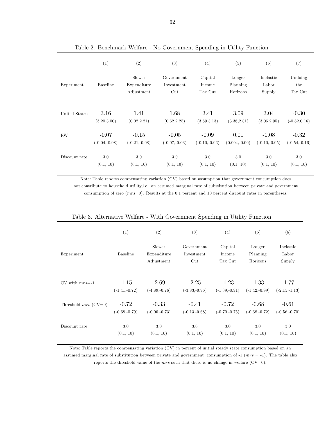|               | (1)             | (2)                                 | (3)                                         | (4)                          | (5)                            | (6)                          | (7)                       |
|---------------|-----------------|-------------------------------------|---------------------------------------------|------------------------------|--------------------------------|------------------------------|---------------------------|
| Experiment    | <b>Baseline</b> | Slower<br>Expenditure<br>Adjustment | Government<br>Investment<br>$_{\text{Cut}}$ | Capital<br>Income<br>Tax Cut | Longer<br>Planning<br>Horizons | Inelastic<br>Labor<br>Supply | Undoing<br>the<br>Tax Cut |
| United States | 3.16            | 1.41                                | 1.68                                        | 3.41                         | 3.09                           | 3.04                         | $-0.30$                   |
|               | (3.20, 3.00)    | (0.02, 2.21)                        | (0.62, 2.25)                                | (3.59, 3.13)                 | (3.36, 2.81)                   | (3.06, 2.95)                 | $(-0.82, 0.16)$           |
| <b>RW</b>     | $-0.07$         | $-0.15$                             | $-0.05$                                     | $-0.09$                      | 0.01                           | $-0.08$                      | $-0.32$                   |
|               | $(-0.04,-0.08)$ | $(-0.21,-0.08)$                     | $(-0.07,-0.03)$                             | $(-0.10,-0.06)$              | $(0.004,-0.00)$                | $(-0.10,-0.05)$              | $(-0.54,-0.16)$           |
| Discount rate | $3.0\,$         | 3.0                                 | 3.0                                         | 3.0                          | 3.0                            | 3.0                          | 3.0                       |
|               | (0.1, 10)       | (0.1, 10)                           | (0.1, 10)                                   | (0.1, 10)                    | (0.1, 10)                      | (0.1, 10)                    | (0.1, 10)                 |

Table 2. Benchmark Welfare - No Government Spending in Utility Function

Note: Table reports compensating variation (CV) based on assumption that government consumption does not contribute to household utility,i.e., an assumed marginal rate of substitution between private and government consumption of zero (mrs=0). Results at the 0.1 percent and 10 percent discount rates in parentheses.

|                        | (1)             | (2)                                 | (3)                                         | (4)                          | (5)                            | (6)                          |
|------------------------|-----------------|-------------------------------------|---------------------------------------------|------------------------------|--------------------------------|------------------------------|
| Experiment             | Baseline        | Slower<br>Expenditure<br>Adjustment | Government<br>Investment<br>$_{\text{Cut}}$ | Capital<br>Income<br>Tax Cut | Longer<br>Planning<br>Horizons | Inelastic<br>Labor<br>Supply |
| $CV$ with $mrs=1$      | $-1.15$         | $-2.69$                             | $-2.25$                                     | $-1.23$                      | $-1.33$                        | $-1.77$                      |
|                        | $(-1.41,-0.72)$ | $(-4.89,-0.76)$                     | $(-3.83,-0.96)$                             | $(-1.39,-0.91)$              | $(-1.42,-0.99)$                | $(-2.15,-1.13)$              |
| Threshold $mrs$ (CV=0) | $-0.72$         | $-0.33$                             | $-0.41$                                     | $-0.72$                      | $-0.68$                        | $-0.61$                      |
|                        | $(-0.68,-0.79)$ | $(-0.00,-0.73)$                     | $(-0.13,-0.68)$                             | $(-0.70,-0.75)$              | $(-0.68,-0.72)$                | $(-0.56,-0.70)$              |
| Discount rate          | 3.0             | 3.0                                 | 3.0                                         | $3.0\,$                      | 3.0                            | 3.0                          |
|                        | (0.1, 10)       | (0.1, 10)                           | (0.1, 10)                                   | (0.1, 10)                    | (0.1, 10)                      | (0.1, 10)                    |

## Table 3. Alternative Welfare - With Government Spending in Utility Function

Note: Table reports the compensating variation (CV) in percent of initial steady state consumption based on an assumed marginal rate of substitution between private and government consumption of  $-1$  ( $mrs = -1$ ). The table also reports the threshold value of the *mrs* such that there is no change in welfare (CV=0).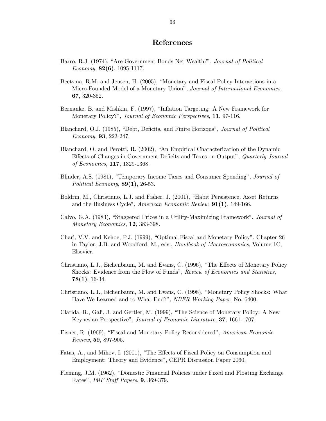## References

- Barro, R.J. (1974), "Are Government Bonds Net Wealth?", Journal of Political Economy,  $82(6)$ , 1095-1117.
- Beetsma, R.M. and Jensen, H. (2005), "Monetary and Fiscal Policy Interactions in a Micro-Founded Model of a Monetary Union", Journal of International Economics, 67, 320-352.
- Bernanke, B. and Mishkin, F. (1997), "Inflation Targeting: A New Framework for Monetary Policy?", *Journal of Economic Perspectives*, **11**, 97-116.
- Blanchard, O.J. (1985), "Debt, Deficits, and Finite Horizons", Journal of Political Economy, 93, 223-247.
- Blanchard, O. and Perotti, R. (2002), "An Empirical Characterization of the Dynamic Effects of Changes in Government Deficits and Taxes on Output", Quarterly Journal of Economics, 117, 1329-1368.
- Blinder, A.S. (1981), "Temporary Income Taxes and Consumer Spending", Journal of Political Economy,  $89(1)$ , 26-53.
- Boldrin, M., Christiano, L.J. and Fisher, J. (2001), "Habit Persistence, Asset Returns and the Business Cycle", American Economic Review, 91(1), 149-166.
- Calvo, G.A. (1983), "Staggered Prices in a Utility-Maximizing Framework", Journal of Monetary Economics, 12, 383-398.
- Chari, V.V. and Kehoe, P.J. (1999), "Optimal Fiscal and Monetary Policy", Chapter 26 in Taylor, J.B. and Woodford, M., eds., Handbook of Macroeconomics, Volume 1C, Elsevier.
- Christiano, L.J., Eichenbaum, M. and Evans, C. (1996), "The Effects of Monetary Policy Shocks: Evidence from the Flow of Funds", Review of Economics and Statistics,  $78(1), 16-34.$
- Christiano, L.J., Eichenbaum, M. and Evans, C. (1998), "Monetary Policy Shocks: What Have We Learned and to What End?", NBER Working Paper, No. 6400.
- Clarida, R., Gali, J. and Gertler, M. (1999), "The Science of Monetary Policy: A New Keynesian Perspective", Journal of Economic Literature, 37, 1661-1707.
- Eisner, R. (1969), "Fiscal and Monetary Policy Reconsidered", American Economic Review, 59, 897-905.
- Fatas, A., and Mihov, I. (2001), "The Effects of Fiscal Policy on Consumption and Employment: Theory and Evidence", CEPR Discussion Paper 2060.
- Fleming, J.M. (1962), "Domestic Financial Policies under Fixed and Floating Exchange Rates", IMF Staff Papers, 9, 369-379.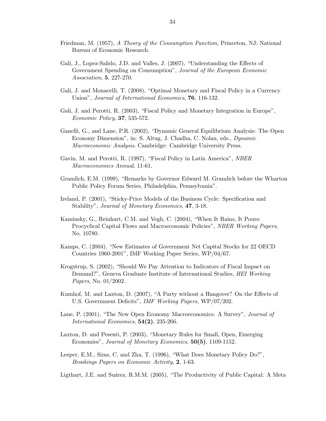- Friedman, M. (1957), A Theory of the Consumption Function, Princeton, NJ: National Bureau of Economic Research.
- Gali, J., Lopez-Salido, J.D. and Valles, J. (2007), "Understanding the Effects of Government Spending on Consumption", Journal of the European Economic Association, 5, 227-270.
- Gali, J. and Monacelli, T. (2008), "Optimal Monetary and Fiscal Policy in a Currency Union", *Journal of International Economics*, **76**, 116-132.
- Gali, J. and Perotti, R. (2003), "Fiscal Policy and Monetary Integration in Europe", Economic Policy, 37, 535-572.
- Ganelli, G., and Lane, P.R. (2002), "Dynamic General Equilibrium Analysis: The Open Economy Dimension", in: S. Altug, J. Chadha, C. Nolan, eds., Dynamic Macroeconomic Analysis. Cambridge: Cambridge University Press.
- Gavin, M. and Perotti, R. (1997), "Fiscal Policy in Latin America", NBER Macroeconomics Annual, 11-61.
- Gramlich, E.M. (1999), "Remarks by Governor Edward M. Gramlich before the Wharton Public Policy Forum Series, Philadelphia, Pennsylvania".
- Ireland, P. (2001), "Sticky-Price Models of the Business Cycle: Specification and Stability", Journal of Monetary Economics, 47, 3-18.
- Kaminsky, G., Reinhart, C.M. and Vegh, C. (2004), "When It Rains, It Pours: Procyclical Capital Flows and Macroeconomic Policies", NBER Working Papers, No. 10780.
- Kamps, C. (2004), "New Estimates of Government Net Capital Stocks for 22 OECD Countries 1960-2001", IMF Working Paper Series, WP/04/67.
- Krogstrup, S. (2002), "Should We Pay Attention to Indicators of Fiscal Impact on Demand?", Geneva Graduate Institute of International Studies, HEI Working Papers, No. 01/2002.
- Kumhof, M. and Laxton, D. (2007), "A Party without a Hangover? On the Effects of U.S. Government Deficits", IMF Working Papers, WP/07/202.
- Lane, P. (2001), "The New Open Economy Macroeconomics: A Survey", Journal of International Economics, 54(2), 235-266.
- Laxton, D. and Pesenti, P. (2003), "Monetary Rules for Small, Open, Emerging Economies", Journal of Monetary Economics, 50(5), 1109-1152.
- Leeper, E.M., Sims, C. and Zha, T. (1996), "What Does Monetary Policy Do?", Brookings Papers on Economic Activity, 2, 1-63.

Ligthart, J.E. and Suárez, R.M.M. (2005), "The Productivity of Public Capital: A Meta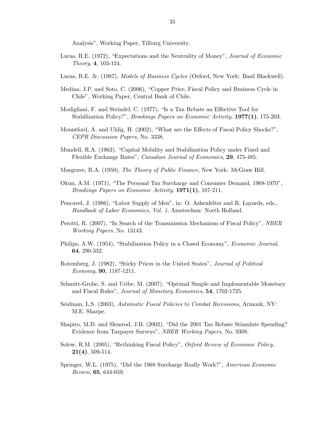Analysis", Working Paper, Tilburg University.

- Lucas, R.E. (1972), "Expectations and the Neutrality of Money", Journal of Economic Theory, 4, 103-124.
- Lucas, R.E. Jr. (1987), Models of Business Cycles (Oxford, New York: Basil Blackwell).
- Medina, J.P. and Soto, C. (2006), "Copper Price, Fiscal Policy and Business Cycle in Chile", Working Paper, Central Bank of Chile.
- Modigliani, F. and Steindel, C. (1977), "Is a Tax Rebate an Effective Tool for Stabilization Policy?", *Brookings Papers on Economic Activity*, 1977(1), 175-203.
- Mountford, A. and Uhlig, H. (2002), "What are the Effects of Fiscal Policy Shocks?", CEPR Discussion Papers, No. 3338.
- Mundell, R.A. (1963), "Capital Mobility and Stabilization Policy under Fixed and Flexible Exchange Rates", Canadian Journal of Economics, 29, 475-485.
- Musgrave, R.A. (1959), The Theory of Public Finance, New York: McGraw Hill.
- Okun, A.M. (1971), "The Personal Tax Surcharge and Consumer Demand, 1968-1970", Brookings Papers on Economic Activity, 1971(1), 167-211.
- Pencavel, J. (1986), "Labor Supply of Men", in: O. Ashenfelter and R. Layards, eds., Handbook of Labor Economics, Vol. 1. Amsterdam: North Holland.
- Perotti, R. (2007), "In Search of the Transmission Mechanism of Fiscal Policy", NBER Working Papers, No. 13143.
- Philips, A.W. (1954), "Stabilization Policy in a Closed Economy", Economic Journal, 64, 290-332.
- Rotemberg, J. (1982), "Sticky Prices in the United States", Journal of Political Economy, 90, 1187-1211.
- Schmitt-Grohe, S. and Uribe, M. (2007), "Optimal Simple and Implementable Monetary and Fiscal Rules", Journal of Monetary Economics, 54, 1702-1725.
- Seidman, L.S. (2003), Automatic Fiscal Policies to Combat Recessions, Armonk, NY: M.E. Sharpe.
- Shapiro, M.D. and Slemrod, J.B. (2002), "Did the 2001 Tax Rebate Stimulate Spending? Evidence from Taxpayer Surveys", NBER Working Papers, No. 9308.
- Solow, R.M. (2005), "Rethinking Fiscal Policy", Oxford Review of Economic Policy,  $21(4)$ , 509-514.
- Springer, W.L. (1975), "Did the 1968 Surcharge Really Work?", American Economic Review, 65, 644-659.